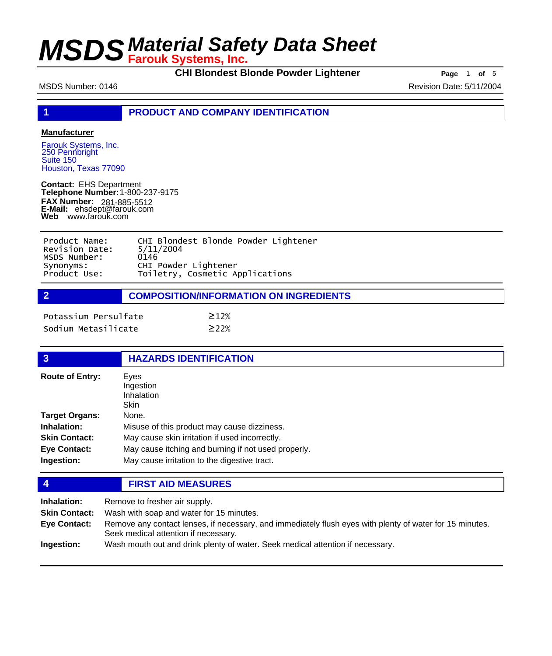**CHI Blondest Blonde Powder Lightener Page** 1 of 5

MSDS Number: 0146 **Revision Date: 5/11/2004** Revision Date: 5/11/2004

**1 PRODUCT AND COMPANY IDENTIFICATION**

#### **Manufacturer**

Farouk Systems, Inc. 250 Pennbright Suite 150 Houston, Texas 77090

**Contact:** EHS Department **Telephone Number:** 1-800-237-9175 **FAX Number: FAX Number:** 281-885-5512<br>**E-Mail:** ehsdept@farouk.com **Web** www.farouk.com

| Product Name:  | CHI Blondest Blonde Powder Lightener |
|----------------|--------------------------------------|
| Revision Date: | 5/11/2004                            |
| MSDS Number:   | 0146                                 |
| Synonyms:      | CHI Powder Lightener                 |
| Product Use:   | Toiletry, Cosmetic Applications      |

**2 COMPOSITION/INFORMATION ON INGREDIENTS**

| Potassium Persulfate | $\geq$ 12% |
|----------------------|------------|
| Sodium Metasilicate  | $\geq$ 22% |

| 3                      | <b>HAZARDS IDENTIFICATION</b>                       |  |  |
|------------------------|-----------------------------------------------------|--|--|
| <b>Route of Entry:</b> | Eyes<br>Ingestion<br>Inhalation<br>Skin             |  |  |
| <b>Target Organs:</b>  | None.                                               |  |  |
| Inhalation:            | Misuse of this product may cause dizziness.         |  |  |
| <b>Skin Contact:</b>   | May cause skin irritation if used incorrectly.      |  |  |
| <b>Eye Contact:</b>    | May cause itching and burning if not used properly. |  |  |
| Ingestion:             | May cause irritation to the digestive tract.        |  |  |
|                        |                                                     |  |  |

### **4 FIRST AID MEASURES**

| Inhalation:          | Remove to fresher air supply.                                                                                                                    |
|----------------------|--------------------------------------------------------------------------------------------------------------------------------------------------|
| <b>Skin Contact:</b> | Wash with soap and water for 15 minutes.                                                                                                         |
| <b>Eye Contact:</b>  | Remove any contact lenses, if necessary, and immediately flush eyes with plenty of water for 15 minutes.<br>Seek medical attention if necessary. |
| Ingestion:           | Wash mouth out and drink plenty of water. Seek medical attention if necessary.                                                                   |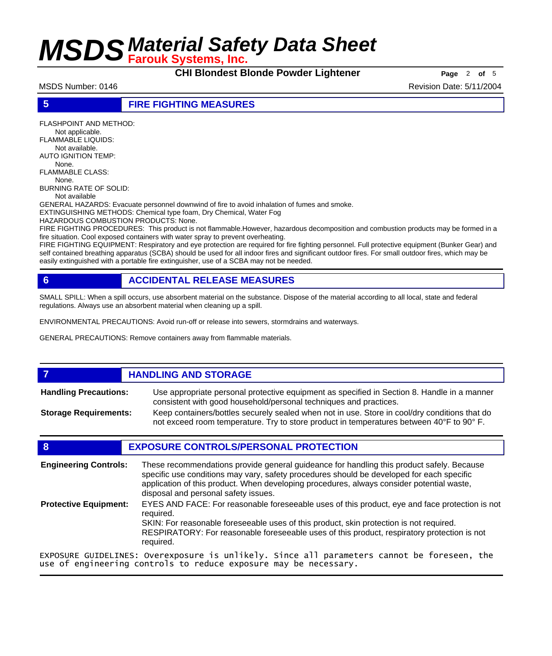**CHI Blondest Blonde Powder Lightener Page** 2 of 5

MSDS Number: 0146 Revision Date: 5/11/2004

#### **5 FIRE FIGHTING MEASURES**

FLASHPOINT AND METHOD: Not applicable. FLAMMABLE LIQUIDS: Not available. AUTO IGNITION TEMP: None. FLAMMABLE CLASS: None. BURNING RATE OF SOLID: Not available GENERAL HAZARDS: Evacuate personnel downwind of fire to avoid inhalation of fumes and smoke. EXTINGUISHING METHODS: Chemical type foam, Dry Chemical, Water Fog HAZARDOUS COMBUSTION PRODUCTS: None. FIRE FIGHTING PROCEDURES: This product is not flammable.However, hazardous decomposition and combustion products may be formed in a fire situation. Cool exposed containers with water spray to prevent overheating.

FIRE FIGHTING EQUIPMENT: Respiratory and eye protection are required for fire fighting personnel. Full protective equipment (Bunker Gear) and self contained breathing apparatus (SCBA) should be used for all indoor fires and significant outdoor fires. For small outdoor fires, which may be easily extinguished with a portable fire extinguisher, use of a SCBA may not be needed.

### **6 ACCIDENTAL RELEASE MEASURES**

SMALL SPILL: When a spill occurs, use absorbent material on the substance. Dispose of the material according to all local, state and federal regulations. Always use an absorbent material when cleaning up a spill.

ENVIRONMENTAL PRECAUTIONS: Avoid run-off or release into sewers, stormdrains and waterways.

GENERAL PRECAUTIONS: Remove containers away from flammable materials.

#### **7 HANDLING AND STORAGE** Use appropriate personal protective equipment as specified in Section 8. Handle in a manner consistent with good household/personal techniques and practices. **Handling Precautions:** Keep containers/bottles securely sealed when not in use. Store in cool/dry conditions that do not exceed room temperature. Try to store product in temperatures between 40°F to 90° F. **Storage Requirements:**

#### **8 EXPOSURE CONTROLS/PERSONAL PROTECTION**

These recommendations provide general guideance for handling this product safely. Because specific use conditions may vary, safety procedures should be developed for each specific application of this product. When developing procedures, always consider potential waste, disposal and personal safety issues. **Engineering Controls:** EYES AND FACE: For reasonable foreseeable uses of this product, eye and face protection is not required. SKIN: For reasonable foreseeable uses of this product, skin protection is not required. RESPIRATORY: For reasonable foreseeable uses of this product, respiratory protection is not required. **Protective Equipment:** EXPOSURE GUIDELINES: Overexposure is unlikely. Since all parameters cannot be foreseen, the use of engineering controls to reduce exposure may be necessary.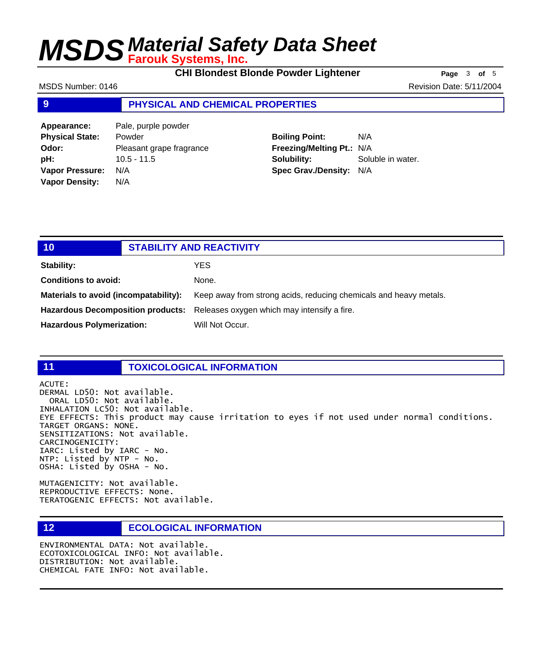**CHI Blondest Blonde Powder Lightener Page** 3 of 5

MSDS Number: 0146 Revision Date: 5/11/2004

### **9 PHYSICAL AND CHEMICAL PROPERTIES**

**Appearance:** Pale, purple powder **Physical State:** Powder **Odor:** Pleasant grape fragrance **pH:** 10.5 - 11.5 **Vapor Pressure:** N/A **Vapor Density:** N/A

### **Boiling Point:** N/A **Freezing/Melting Pt.:** N/A **Solubility:** Soluble in water. **Spec Grav./Density:** N/A

| 10                                    | <b>STABILITY AND REACTIVITY</b> |                                                                               |
|---------------------------------------|---------------------------------|-------------------------------------------------------------------------------|
| <b>Stability:</b>                     |                                 | YES.                                                                          |
| <b>Conditions to avoid:</b>           |                                 | None.                                                                         |
| Materials to avoid (incompatability): |                                 | Keep away from strong acids, reducing chemicals and heavy metals.             |
|                                       |                                 | Hazardous Decomposition products: Releases oxygen which may intensify a fire. |
| <b>Hazardous Polymerization:</b>      |                                 | Will Not Occur.                                                               |

#### **11 TOXICOLOGICAL INFORMATION**

ACUTE: DERMAL LD50: Not available. ORAL LD50: Not available. INHALATION LC50: Not available. EYE EFFECTS: This product may cause irritation to eyes if not used under normal conditions. TARGET ORGANS: NONE. SENSITIZATIONS: Not available. CARCINOGENICITY: IARC: Listed by IARC - No. NTP: Listed by NTP - No. OSHA: Listed by OSHA - No.

MUTAGENICITY: Not available. REPRODUCTIVE EFFECTS: None. TERATOGENIC EFFECTS: Not available.

#### **12 ECOLOGICAL INFORMATION**

ENVIRONMENTAL DATA: Not available. ECOTOXICOLOGICAL INFO: Not available. DISTRIBUTION: Not available. CHEMICAL FATE INFO: Not available.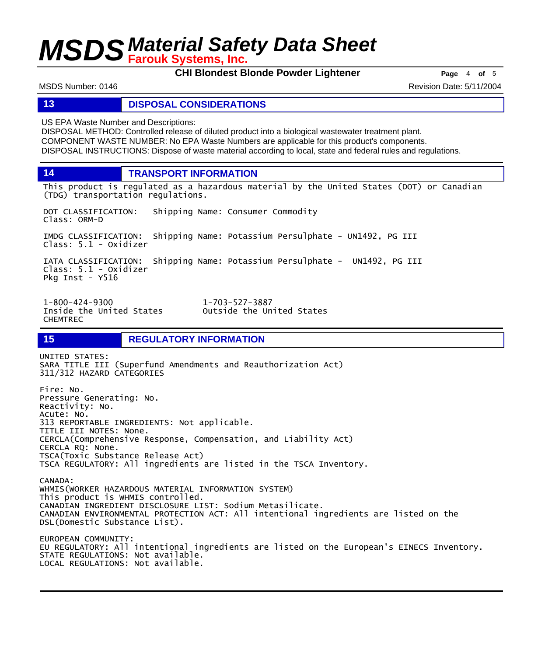**CHI Blondest Blonde Powder Lightener Page** 4 **of** 5

MSDS Number: 0146 Revision Date: 5/11/2004

#### **13 DISPOSAL CONSIDERATIONS**

US EPA Waste Number and Descriptions:

DISPOSAL METHOD: Controlled release of diluted product into a biological wastewater treatment plant. COMPONENT WASTE NUMBER: No EPA Waste Numbers are applicable for this product's components. DISPOSAL INSTRUCTIONS: Dispose of waste material according to local, state and federal rules and regulations.

**14 TRANSPORT INFORMATION**

This product is regulated as a hazardous material by the United States (DOT) or Canadian (TDG) transportation regulations.

DOT CLASSIFICATION: Shipping Name: Consumer Commodity Class: ORM-D

IMDG CLASSIFICATION: Shipping Name: Potassium Persulphate - UN1492, PG III Class: 5.1 - Oxidizer

IATA CLASSIFICATION: Shipping Name: Potassium Persulphate - UN1492, PG III Class: 5.1 - Oxidizer Pkg Inst - Y516

1-800-424-9300 1-703-527-3887 CHEMTREC

Outside the United States

### **15 REGULATORY INFORMATION**

UNITED STATES: SARA TITLE III (Superfund Amendments and Reauthorization Act) 311/312 HAZARD CATEGORIES Fire: No. Pressure Generating: No. Reactivity: No. Acute: No. 313 REPORTABLE INGREDIENTS: Not applicable. TITLE III NOTES: None. CERCLA(Comprehensive Response, Compensation, and Liability Act) CERCLA RQ: None. TSCA(Toxic Substance Release Act) TSCA REGULATORY: All ingredients are listed in the TSCA Inventory.

CANADA: WHMIS(WORKER HAZARDOUS MATERIAL INFORMATION SYSTEM) This product is WHMIS controlled. CANADIAN INGREDIENT DISCLOSURE LIST: Sodium Metasilicate. CANADIAN ENVIRONMENTAL PROTECTION ACT: All intentional ingredients are listed on the DSL(Domestic Substance List).

EUROPEAN COMMUNITY: EU REGULATORY: All intentional ingredients are listed on the European's EINECS Inventory. STATE REGULATIONS: Not available. LOCAL REGULATIONS: Not available.